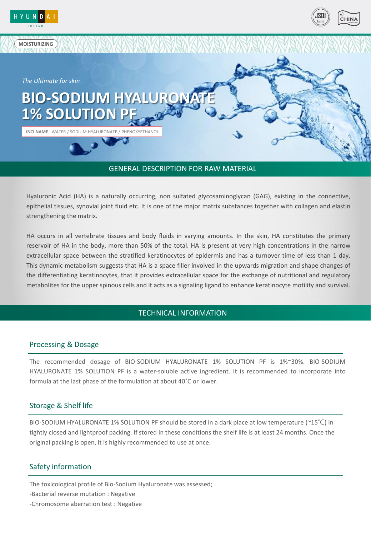

## GENERAL DESCRIPTION FOR RAW MATERIAL

Hyaluronic Acid (HA) is a naturally occurring, non sulfated glycosaminoglycan (GAG), existing in the connective, epithelial tissues, synovial joint fluid etc. It is one of the major matrix substances together with collagen and elastin strengthening the matrix.

HA occurs in all vertebrate tissues and body fluids in varying amounts. In the skin, HA constitutes the primary reservoir of HA in the body, more than 50% of the total. HA is present at very high concentrations in the narrow extracellular space between the stratified keratinocytes of epidermis and has a turnover time of less than 1 day. This dynamic metabolism suggests that HA is a space filler involved in the upwards migration and shape changes of the differentiating keratinocytes, that it provides extracellular space for the exchange of nutritional and regulatory metabolites for the upper spinous cells and it acts as a signaling ligand to enhance keratinocyte motility and survival.

## TECHNICAL INFORMATION

#### Processing & Dosage

The recommended dosage of BIO-SODIUM HYALURONATE 1% SOLUTION PF is 1%~30%. BIO-SODIUM HYALURONATE 1% SOLUTION PF is a water-soluble active ingredient. It is recommended to incorporate into formula at the last phase of the formulation at about 40˚C or lower.

#### Storage & Shelf life

BIO-SODIUM HYALURONATE 1% SOLUTION PF should be stored in a dark place at low temperature (~15℃) in tightly closed and lightproof packing. If stored in these conditions the shelf life is at least 24 months. Once the original packing is open, it is highly recommended to use at once.

#### Safety information

The toxicological profile of Bio-Sodium Hyaluronate was assessed;

- -Bacterial reverse mutation : Negative
- -Chromosome aberration test : Negative